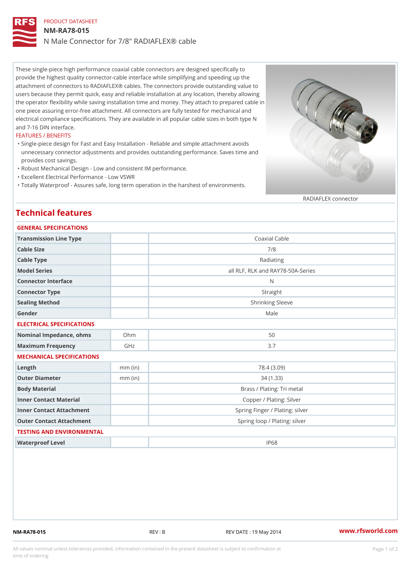## PRODUCT DATASHEET NM-RA78-015 N Male Connector for 7/8" RADIAFLEX® cable

These single-piece high performance coaxial cable connectors are designed specifically to provide the highest quality connector-cable interface while simplifying and speeding up the attachment of connectors to RADIAFLEX® cables. The connectors provide outstanding value to users because they permit quick, easy and reliable installation at any location, thereby allowing the operator flexibility while saving installation time and money. They attach to prepared cable in one piece assuring error-free attachment. All connectors are fully tested for mechanical and electrical compliance specifications. They are available in all popular cable sizes in both type N and 7-16 DIN interface.

### FEATURES / BENEFITS

- Single-piece design for Fast and Easy Installation Reliable and simple attachment avoids " unnecessary connector adjustments and provides outstanding performance. Saves time and provides cost savings.
- "Robust Mechanical Design Low and consistent IM performance.
- "Excellent Electrical Performance Low VSWR
- "Totally Waterproof Assures safe, long term operation in the harshest of environments.

### RADIAFLEX connector

## Technical features

| GENERAL SPECIFICATIONS    |                                                                                                                |
|---------------------------|----------------------------------------------------------------------------------------------------------------|
|                           | Coaxial Cable                                                                                                  |
|                           | 7/8                                                                                                            |
|                           | Radiating                                                                                                      |
|                           | all RLF, RLK and RAY78-50A-Series                                                                              |
|                           | N                                                                                                              |
|                           | Straight                                                                                                       |
|                           | Shrinking Sleeve                                                                                               |
|                           | Male                                                                                                           |
| ELECTRICAL SPECIFICATIONS |                                                                                                                |
|                           | 50                                                                                                             |
| GHz                       | 3.7                                                                                                            |
| MECHANICAL SPECIFICATIONS |                                                                                                                |
| $mm$ (in)                 | 78.4 (3.09)                                                                                                    |
| $mm$ (in)                 | 34(1.33)                                                                                                       |
|                           | Brass / Plating: Tri metal                                                                                     |
|                           | Copper / Plating: Silver                                                                                       |
|                           | Spring Finger / Plating: silver                                                                                |
|                           | Spring loop / Plating: silver                                                                                  |
| TESTING AND ENVIRONMENTAL |                                                                                                                |
|                           | IP68                                                                                                           |
|                           | Transmission Line Type<br>Nominal Impedance, ohins Ohm<br>Inner Contact Attachment<br>Outer Contact Attachment |

NM-RA78-015 REV : B REV DATE : 19 May 2014 [www.](https://www.rfsworld.com)rfsworld.com

All values nominal unless tolerances provided; information contained in the present datasheet is subject to Pcapgeign manation time of ordering